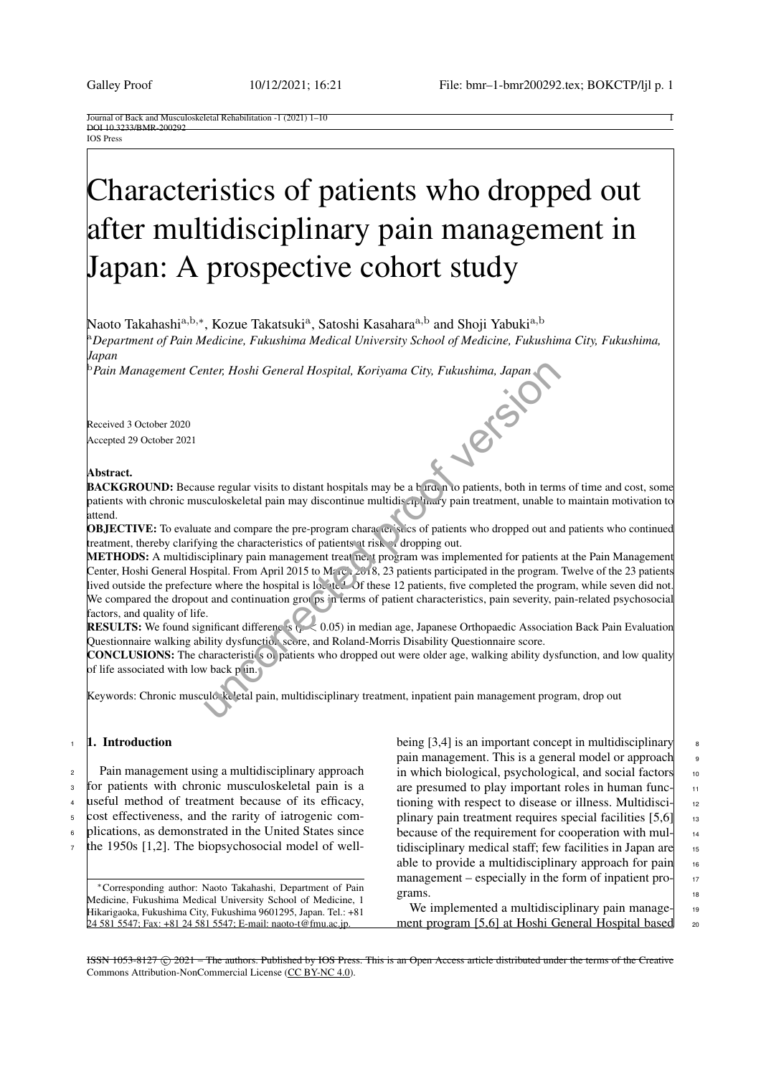Journal of Back and Musculoskeletal Rehabilitation -1 (2021) 1–10 1 DOI 10.3233/BMR-200292 IOS Press

# Characteristics of patients who dropped out after multidisciplinary pain management in Japan: A prospective cohort study

Naoto Takahashi<sup>a,b,∗</sup>, Kozue Takatsuki<sup>a</sup>, Satoshi Kasahara<sup>a,b</sup> and Shoji Yabuki<sup>a,b</sup>

<sup>a</sup>*Department of Pain Medicine, Fukushima Medical University School of Medicine, Fukushima City, Fukushima, Japan*

<sup>b</sup>*Pain Management Center, Hoshi General Hospital, Koriyama City, Fukushima, Japan*

Received 3 October 2020 Accepted 29 October 2021

# Abstract.

**BACKGROUND:** Because regular visits to distant hospitals may be a b rrd, n to patients, both in terms of time and cost, some patients with chronic musculoskeletal pain may discontinue multidis up may pain treatment, unable to maintain motivation to attend.

**OBJECTIVE:** To evaluate and compare the pre-program characteristics of patients who dropped out and patients who continued treatment, thereby clarifying the characteristics of patients at risk of dropping out.

METHODS: A multidisciplinary pain management treatment program was implemented for patients at the Pain Management Center, Hoshi General Hospital. From April 2015 to Marce 2018, 23 patients participated in the program. Twelve of the 23 patients lived outside the prefecture where the hospital is located. Of these 12 patients, five completed the program, while seven did not. We compared the dropout and continuation groups in terms of patient characteristics, pain severity, pain-related psychosocial factors, and quality of life. nter, Hoshi General Hospital, Koriyama City, Fukushima, Japan<br>
sue regular visits to distant hospitals may be a b rad n to patients, both in term<br>
sculoskeletal pain may discontinue multidis aplared to patients, both in te

**RESULTS:** We found significant differences ( $\mu$   $\leq$  0.05) in median age, Japanese Orthopaedic Association Back Pain Evaluation Questionnaire walking ability dysfunction score, and Roland-Morris Disability Questionnaire score.

CONCLUSIONS: The characteristics of patients who dropped out were older age, walking ability dysfunction, and low quality of life associated with low back  $p$  in.

Keywords: Chronic musculo keletal pain, multidisciplinary treatment, inpatient pain management program, drop out

## 1. Introduction

<sup>2</sup> Pain management using a multidisciplinary approach <sup>3</sup> for patients with chronic musculoskeletal pain is a <sup>4</sup> useful method of treatment because of its efficacy,

<sup>5</sup> cost effectiveness, and the rarity of iatrogenic com-

<sup>6</sup> plications, as demonstrated in the United States since

 $\tau$  the 1950s [\[1,](#page-7-0)[2\]](#page-8-0). The biopsychosocial model of well-

<sup>∗</sup>Corresponding author: Naoto Takahashi, Department of Pain Medicine, Fukushima Medical University School of Medicine, 1 Hikarigaoka, Fukushima City, Fukushima 9601295, Japan. Tel.: +81 24 581 5547; Fax: +81 24 581 5547; E-mail: naoto-t@fmu.ac.jp.

being  $[3,4]$  $[3,4]$  is an important concept in multidisciplinary  $\begin{array}{c} \text{8} \\ \text{8} \end{array}$ pain management. This is a general model or approach 9 in which biological, psychological, and social factors 10 are presumed to play important roles in human functioning with respect to disease or illness. Multidisciplinary pain treatment requires special facilities  $[5,6]$  $[5,6]$  13 because of the requirement for cooperation with multidisciplinary medical staff; few facilities in Japan are 15 able to provide a multidisciplinary approach for pain  $\frac{16}{16}$ management – especially in the form of inpatient pro- $\frac{1}{17}$ grams.  $\vert$  18

We implemented a multidisciplinary pain manage- $\vert$  19 ment program [\[5,](#page-8-3)[6\]](#page-8-4) at Hoshi General Hospital based 20

ISSN 1053-8127 (C) 2021 – The authors. Published by IOS Press. This is an Open Access article distributed under the terms of the Creative Commons Attribution-NonCommercial License [\(CC BY-NC 4.0\)](https://creativecommons.org/licenses/by-nc/4.0/).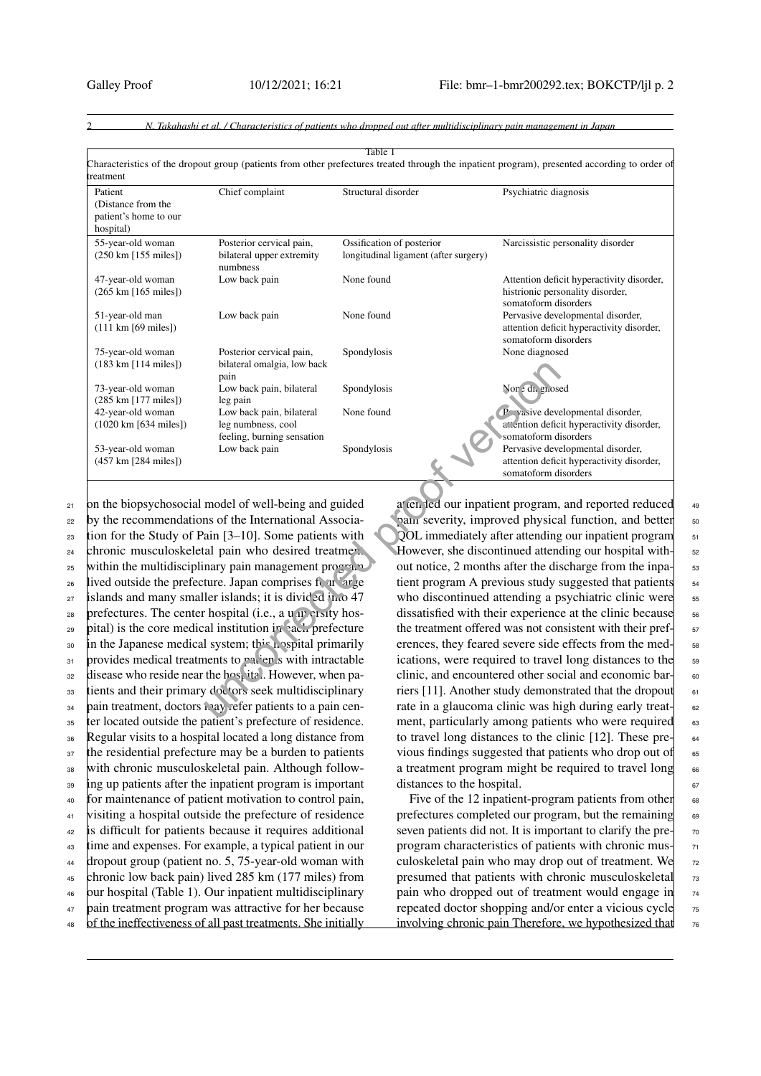<span id="page-1-0"></span>

| Patient                                                      | Chief complaint                                                              | Structural disorder                                                | Psychiatric diagnosis                                                                                  |
|--------------------------------------------------------------|------------------------------------------------------------------------------|--------------------------------------------------------------------|--------------------------------------------------------------------------------------------------------|
| (Distance from the<br>patient's home to our<br>hospital)     |                                                                              |                                                                    |                                                                                                        |
| 55-year-old woman<br>$(250 \text{ km} [155 \text{ miles}])$  | Posterior cervical pain,<br>bilateral upper extremity<br>numbness            | Ossification of posterior<br>longitudinal ligament (after surgery) | Narcissistic personality disorder                                                                      |
| 47-year-old woman<br>$(265 \text{ km } [165 \text{ miles}])$ | Low back pain                                                                | None found                                                         | Attention deficit hyperactivity disorder,<br>histrionic personality disorder,<br>somatoform disorders  |
| 51-year-old man<br>$(111 \text{ km } [69 \text{ miles}])$    | Low back pain                                                                | None found                                                         | Pervasive developmental disorder,<br>attention deficit hyperactivity disorder,<br>somatoform disorders |
| 75-year-old woman<br>$(183 \text{ km } [114 \text{ miles}])$ | Posterior cervical pain,<br>bilateral omalgia, low back<br>pain              | Spondylosis                                                        | None diagnosed                                                                                         |
| 73-year-old woman                                            | Low back pain, bilateral                                                     | Spondylosis                                                        | Non: di. grosed                                                                                        |
| (285 km [177 miles])                                         | leg pain                                                                     |                                                                    |                                                                                                        |
| 42-year-old woman<br>$(1020 \text{ km} [634 \text{ miles}])$ | Low back pain, bilateral<br>leg numbness, cool<br>feeling, burning sensation | None found                                                         | P vasive developmental disorder,<br>attention deficit hyperactivity disorder,<br>somatoform disorders  |
| 53-year-old woman<br>(457 km [284 miles])                    | Low back pain                                                                | Spondylosis                                                        | Pervasive developmental disorder,<br>attention deficit hyperactivity disorder,<br>somatoform disorders |
|                                                              | on the biopsychosocial model of well-being and guided                        |                                                                    | at en led our inpatient program, and reported reduced                                                  |
|                                                              | by the recommendations of the International Associa-                         |                                                                    | pain severity, improved physical function, and better                                                  |
|                                                              | tion for the Study of Pain [3-10]. Some patients with                        |                                                                    | QOL immediately after attending our inpatient program                                                  |
|                                                              | chronic musculoskeletal pain who desired treatmen.                           |                                                                    | However, she discontinued attending our hospital with-                                                 |
|                                                              | within the multidisciplinary pain management program                         |                                                                    | out notice, 2 months after the discharge from the inpa-                                                |
|                                                              | lived outside the prefecture. Japan comprises four 'arge                     |                                                                    | tient program A previous study suggested that patients                                                 |
|                                                              | islands and many smaller islands; it is divided into 47                      |                                                                    | who discontinued attending a psychiatric clinic were                                                   |
|                                                              | prefectures. The center hospital (i.e., a u up et sity hos-                  |                                                                    | dissatisfied with their experience at the clinic because                                               |
|                                                              | pital) is the core medical institution in each prefecture                    |                                                                    | the treatment offered was not consistent with their pref-                                              |
|                                                              | in the Japanese medical system; this pospital primarily                      |                                                                    | erences, they feared severe side effects from the med-                                                 |
|                                                              | provides medical treatments to patien's with intractable                     |                                                                    | ications, were required to travel long distances to the                                                |
|                                                              | disease who reside near the hospital. However, when pa-                      |                                                                    | clinic, and encountered other social and economic bar-                                                 |
|                                                              | tients and their primary doctors seek multidisciplinary                      |                                                                    | riers [11]. Another study demonstrated that the dropout                                                |
|                                                              | pain treatment, doctors anay refer patients to a pain cen-                   |                                                                    | rate in a glaucoma clinic was high during early treat-                                                 |
| $-1$ $-1$ $-1$ $-1$ $-1$ $-1$                                | $\mathbf{r}$ , $\mathbf{r}$ , $\mathbf{r}$ , $\mathbf{r}$                    |                                                                    |                                                                                                        |

 on the biopsychosocial model of well-being and guided <sup>22</sup> by the recommendations of the International Associa- tion for the Study of Pain [3–10]. Some patients with <sup>24</sup> chronic musculoskeletal pain who desired treatment 25 within the multidisciplinary pain management program <sup>26</sup> lived outside the prefecture. Japan comprises four  $\alpha$  arge islands and many smaller islands; it is divided into 47 prefectures. The center hospital (i.e., a university hos- pital) is the core medical institution in each prefecture 30 in the Japanese medical system; this hospital primarily provides medical treatments to patients with intractable disease who reside near the hospital. However, when pa-33 tients and their primary doctors seek multidisciplinary  $_{34}$  pain treatment, doctors may refer patients to a pain cen-<sup>35</sup> ter located outside the patient's prefecture of residence. Regular visits to a hospital located a long distance from <sup>37</sup> the residential prefecture may be a burden to patients with chronic musculoskeletal pain. Although follow- ing up patients after the inpatient program is important for maintenance of patient motivation to control pain, visiting a hospital outside the prefecture of residence is difficult for patients because it requires additional time and expenses. For example, a typical patient in our dropout group (patient no. 5, 75-year-old woman with chronic low back pain) lived 285 km (177 miles) from our hospital (Table [1\)](#page-1-0). Our inpatient multidisciplinary pain treatment program was attractive for her because <sup>48</sup> of the ineffectiveness of all past treatments. She initially

at en led our inpatient program, and reported reduced 49 pain severity, improved physical function, and better  $\frac{1}{50}$ QOL immediately after attending our inpatient program 51 However, she discontinued attending our hospital without notice, 2 months after the discharge from the inpatient program A previous study suggested that patients  $\frac{54}{54}$ who discontinued attending a psychiatric clinic were  $\frac{55}{55}$ dissatisfied with their experience at the clinic because  $\frac{1}{56}$ the treatment offered was not consistent with their pref-  $\frac{1}{57}$ erences, they feared severe side effects from the medications, were required to travel long distances to the <sup>59</sup> clinic, and encountered other social and economic bar- 60 riers [11]. Another study demonstrated that the dropout  $\overline{61}$ rate in a glaucoma clinic was high during early treat-<br>sea ment, particularly among patients who were required  $\overline{63}$ to travel long distances to the clinic [\[12\]](#page-8-7). These pre- $\begin{bmatrix} 64 & 64 \\ 64 & 64 \end{bmatrix}$ vious findings suggested that patients who drop out of  $\overline{6}$ a treatment program might be required to travel long  $66$ distances to the hospital.  $\qquad \qquad$  67

Five of the 12 inpatient-program patients from other  $\begin{bmatrix} 68 \end{bmatrix}$ prefectures completed our program, but the remaining  $\qquad$  69 seven patients did not. It is important to clarify the preprogram characteristics of patients with chronic mus- $\frac{1}{71}$ culoskeletal pain who may drop out of treatment. We  $\frac{72}{2}$ presumed that patients with chronic musculoskeletal  $\frac{73}{2}$ pain who dropped out of treatment would engage in  $_{74}$ repeated doctor shopping and/or enter a vicious cycle  $\frac{75}{6}$ involving chronic pain Therefore, we hypothesized that  $76$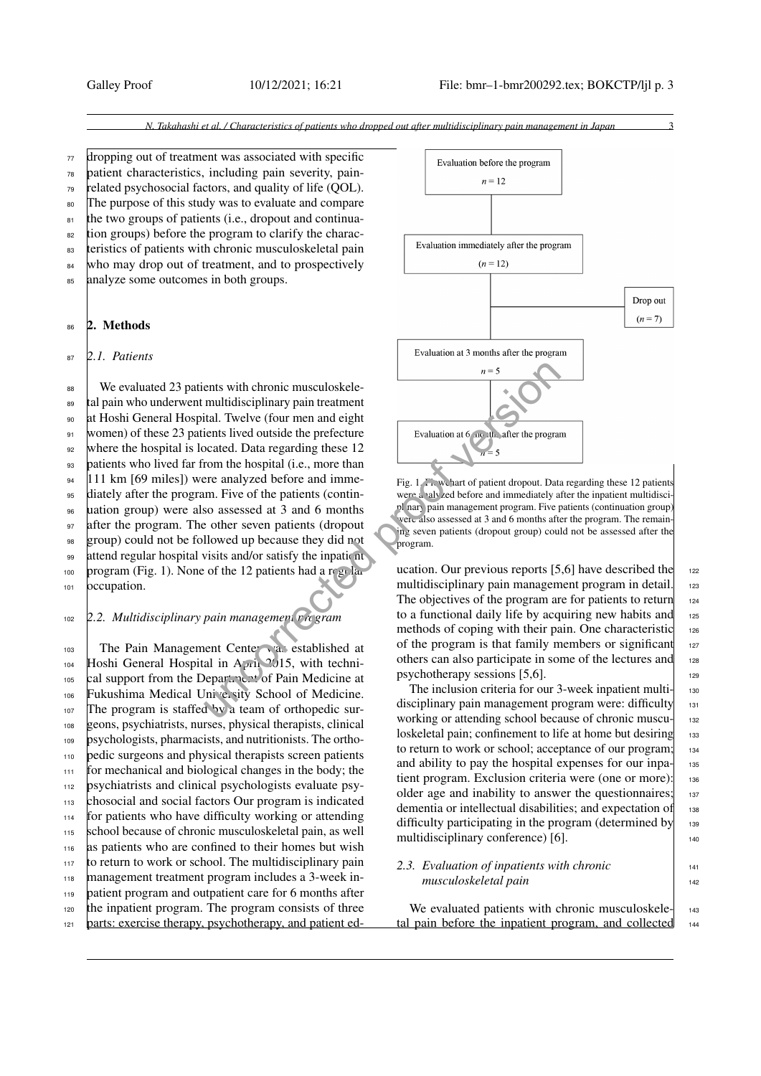<sup>77</sup> dropping out of treatment was associated with specific <sup>78</sup> patient characteristics, including pain severity, pain-<sup>79</sup> related psychosocial factors, and quality of life (QOL). 80 The purpose of this study was to evaluate and compare <sup>81</sup> the two groups of patients (i.e., dropout and continua- $\frac{1}{82}$  tion groups) before the program to clarify the charac-83 teristics of patients with chronic musculoskeletal pain 84 who may drop out of treatment, and to prospectively <sup>85</sup> analyze some outcomes in both groups.

#### 86 2. Methods

<sup>87</sup> *2.1. Patients*

 $88$  We evaluated 23 patients with chronic musculoskele-<sup>89</sup> tal pain who underwent multidisciplinary pain treatment <sup>90</sup> at Hoshi General Hospital. Twelve (four men and eight 91 women) of these 23 patients lived outside the prefecture <sub>92</sub> where the hospital is located. Data regarding these 12 <sup>93</sup> patients who lived far from the hospital (i.e., more than 94 | 111 km [69 miles]) were analyzed before and imme-<sup>95</sup> diately after the program. Five of the patients (contin-<sup>96</sup> uation group) were also assessed at 3 and 6 months 97 after the program. The other seven patients (dropout <sup>98</sup> group) could not be followed up because they did not 99 attend regular hospital visits and/or satisfy the inpatient 100 program (Fig. [1\)](#page-2-0). None of the 12 patients had a regular 101 **occupation**. ents with chronic musculoskele-<br>
multidisciplinary pain treatment<br>
tital. Twelve (four men and eight<br>
tients lived outside the prefecture<br>
created. Data regarding these 12<br>
rom the hospital (i.e., more than<br>
men-<br>
men-<br>
e

# <sup>102</sup> *2.2. Multidisciplinary pain management program*

103 The Pain Management Center vas established at 104 Hoshi General Hospital in April  $2/15$ , with techni-105 cal support from the Department of Pain Medicine at 106 Fukushima Medical University School of Medicine. <sup>107</sup> The program is staffed by a team of orthopedic sur-<sup>108</sup> geons, psychiatrists, nurses, physical therapists, clinical <sup>109</sup> psychologists, pharmacists, and nutritionists. The ortho-<sup>110</sup> pedic surgeons and physical therapists screen patients <sup>111</sup> for mechanical and biological changes in the body; the <sup>112</sup> psychiatrists and clinical psychologists evaluate psy-<sup>113</sup> chosocial and social factors Our program is indicated <sup>114</sup> for patients who have difficulty working or attending 115 school because of chronic musculoskeletal pain, as well 116 as patients who are confined to their homes but wish <sup>117</sup> to return to work or school. The multidisciplinary pain <sup>118</sup> management treatment program includes a 3-week in-<sup>119</sup> patient program and outpatient care for 6 months after <sup>120</sup> the inpatient program. The program consists of three 121 parts: exercise therapy, psychotherapy, and patient ed-



<span id="page-2-0"></span>were a valvzed before and immediately after the inpatient multidisci pl nary pain management program. Five patients (continuation group) were also assessed at 3 and 6 months after the program. The remaining seven patients (dropout group) could not be assessed after the program.

ucation. Our previous reports [5[,6\]](#page-8-4) have described the  $_{122}$ multidisciplinary pain management program in detail.  $_{123}$ The objectives of the program are for patients to return  $_{124}$ to a functional daily life by acquiring new habits and  $125$ methods of coping with their pain. One characteristic 126 of the program is that family members or significant  $127$ others can also participate in some of the lectures and <sup>128</sup> psychotherapy sessions  $[5,6]$ .

The inclusion criteria for our 3-week inpatient multi- $\frac{1}{130}$ disciplinary pain management program were: difficulty 131 working or attending school because of chronic muscu-<br>132 loskeletal pain; confinement to life at home but desiring 133 to return to work or school; acceptance of our program; 134 and ability to pay the hospital expenses for our inpa $\frac{1}{135}$ tient program. Exclusion criteria were (one or more): 136 older age and inability to answer the questionnaires; 137 dementia or intellectual disabilities; and expectation of 138 difficulty participating in the program (determined by  $_{139}$ multidisciplinary conference) [\[6\]](#page-8-4).  $\vert$  140

2.3. Evaluation of inpatients with chronic *musculoskeletal pain* 142

We evaluated patients with chronic musculoskele- $\frac{1}{143}$ tal pain before the inpatient program, and collected 144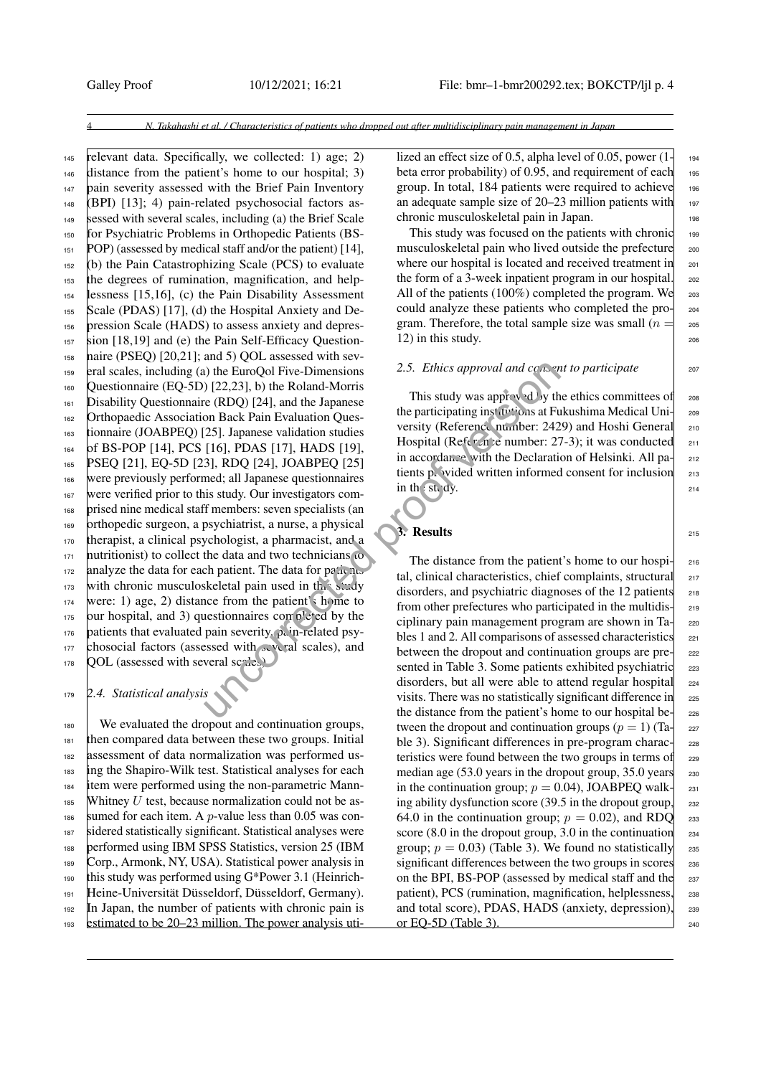relevant data. Specifically, we collected: 1) age; 2) distance from the patient's home to our hospital; 3) 147 pain severity assessed with the Brief Pain Inventory (BPI) [\[13\]](#page-8-8); 4) pain-related psychosocial factors as- sessed with several scales, including (a) the Brief Scale for Psychiatric Problems in Orthopedic Patients (BS- POP) (assessed by medical staff and/or the patient) [\[14\]](#page-8-9), (b) the Pain Catastrophizing Scale (PCS) to evaluate the degrees of rumination, magnification, and help- lessness [\[15,](#page-8-10)[16\]](#page-8-11), (c) the Pain Disability Assessment Scale (PDAS) [\[17\]](#page-8-12), (d) the Hospital Anxiety and De- pression Scale (HADS) to assess anxiety and depres- sion [\[18](#page-8-13)[,19\]](#page-8-14) and (e) the Pain Self-Efficacy Question-158 naire (PSEQ) [\[20](#page-8-15)[,21\]](#page-8-16); and 5) QOL assessed with sev- eral scales, including (a) the EuroQol Five-Dimensions Questionnaire (EQ-5D) [22,23], b) the Roland-Morris Disability Questionnaire (RDQ) [24], and the Japanese Orthopaedic Association Back Pain Evaluation Ques- tionnaire (JOABPEQ) [25]. Japanese validation studies of BS-POP [\[14\]](#page-8-9), PCS [16], PDAS [17], HADS [19], PSEQ [\[21\]](#page-8-16), EQ-5D [\[23\]](#page-8-18), RDQ [24], JOABPEQ [25] were previously performed; all Japanese questionnaires 167 were verified prior to this study. Our investigators com- prised nine medical staff members: seven specialists (an orthopedic surgeon, a psychiatrist, a nurse, a physical therapist, a clinical psychologist, a pharmacist, and a nutritionist) to collect the data and two technicians to analyze the data for each patient. The data for patients 173 with chronic musculoskeletal pain used in this study 174 were: 1) age, 2) distance from the patient's home to our hospital, and 3) questionnaires completed by the 176 patients that evaluated pain severity,  $\rho_c$  in-related psy- chosocial factors (assessed with several scales), and QOL (assessed with several scales). (a) the EuroQol Five-Dimensions 2.5. *Ethics approval and conser*<br>
(2.2,231), b) the Roland-Morris<br>
(RDQ) [24], and the Japanese<br>
2.51. *Lapanese* This study was approval by the<br>
2.5251. Japanese validation Questors<br>
2.52

<sup>179</sup> *2.4. Statistical analysis*

<sup>180</sup> We evaluated the dropout and continuation groups, then compared data between these two groups. Initial assessment of data normalization was performed us- ing the Shapiro-Wilk test. Statistical analyses for each item were performed using the non-parametric Mann-185 Whitney U test, because normalization could not be as-186 sumed for each item. A *p*-value less than 0.05 was con- sidered statistically significant. Statistical analyses were performed using IBM SPSS Statistics, version 25 (IBM Corp., Armonk, NY, USA). Statistical power analysis in this study was performed using G\*Power 3.1 (Heinrich- Heine-Universität Düsseldorf, Düsseldorf, Germany). In Japan, the number of patients with chronic pain is estimated to be 20–23 million. The power analysis utilized an effect size of 0.5, alpha level of 0.05, power  $(1 - 194)$ beta error probability) of 0.95, and requirement of each  $_{195}$ group. In total, 184 patients were required to achieve  $_{196}$ an adequate sample size of  $20-23$  million patients with 197 chronic musculoskeletal pain in Japan.

This study was focused on the patients with chronic  $_{199}$ musculoskeletal pain who lived outside the prefecture 200 where our hospital is located and received treatment in <sub>201</sub> the form of a 3-week inpatient program in our hospital. <sub>202</sub> All of the patients  $(100\%)$  completed the program. We  $_{203}$ could analyze these patients who completed the pro-<br>204 gram. Therefore, the total sample size was small ( $n = \frac{1}{205}$ 12) in this study.  $206$ 

### *2.5. Ethics approval and co<sub>ns</sub> ant to participate* 207

This study was approved by the ethics committees of  $\qquad$  208 the participating institutions at Fukushima Medical Uni-<br>200 versity (Reference number: 2429) and Hoshi General 210 Hospital ( $Ref_f \sim n$ ) e number: 27-3); it was conducted  $211$ in accordance with the Declaration of Helsinki. All pa- 212 tients provided written informed consent for inclusion  $_{213}$ in the study.  $214$ 

# 3. Results  $\begin{array}{ccc} 3.6 \end{array}$

The distance from the patient's home to our hospi- 216 tal, clinical characteristics, chief complaints, structural 217 disorders, and psychiatric diagnoses of the 12 patients  $_{218}$ from other prefectures who participated in the multidis-<br>219 ciplinary pain management program are shown in Ta- $\vert$  220 bles 1 and 2. All comparisons of assessed characteristics  $\begin{array}{c} \n\text{22} \\
\text{24} \\
\text{25} \\
\text{26} \\
\text{27} \\
\text{28} \\
\text{29} \\
\text{20} \\
\text{21} \\
\text{21} \\
\text{22} \\
\text{23} \\
\text{24} \\
\text{25} \\
\text{26} \\
\text{27} \\
\text{28} \\
\text{29} \\
\text{20} \\
\text{21} \\
\text{21} \\
\text{22}$ between the dropout and continuation groups are pre-<br>222 sented in Table 3. Some patients exhibited psychiatric <sub>223</sub> disorders, but all were able to attend regular hospital 224 visits. There was no statistically significant difference in 225 the distance from the patient's home to our hospital be- $\vert$  226 tween the dropout and continuation groups  $(p = 1)$  (Ta- 227) ble [3\)](#page-4-1). Significant differences in pre-program charac- $\frac{228}{2}$ teristics were found between the two groups in terms of 229 median age  $(53.0 \text{ years})$  in the dropout group,  $35.0 \text{ years}$  230 in the continuation group;  $p = 0.04$ ), JOABPEQ walk- $\vert$  231 ing ability dysfunction score (39.5 in the dropout group,  $_{232}$ 64.0 in the continuation group;  $p = 0.02$ ), and RDQ 233 score (8.0 in the dropout group, 3.0 in the continuation  $_{234}$ group;  $p = 0.03$ ) (Table [3\)](#page-4-1). We found no statistically 235 significant differences between the two groups in scores 236 on the BPI, BS-POP (assessed by medical staff and the 237 patient), PCS (rumination, magnification, helplessness,  $\frac{238}{2}$ and total score), PDAS, HADS (anxiety, depression), <sup>239</sup> or EQ-5D (Table [3\)](#page-4-1). 240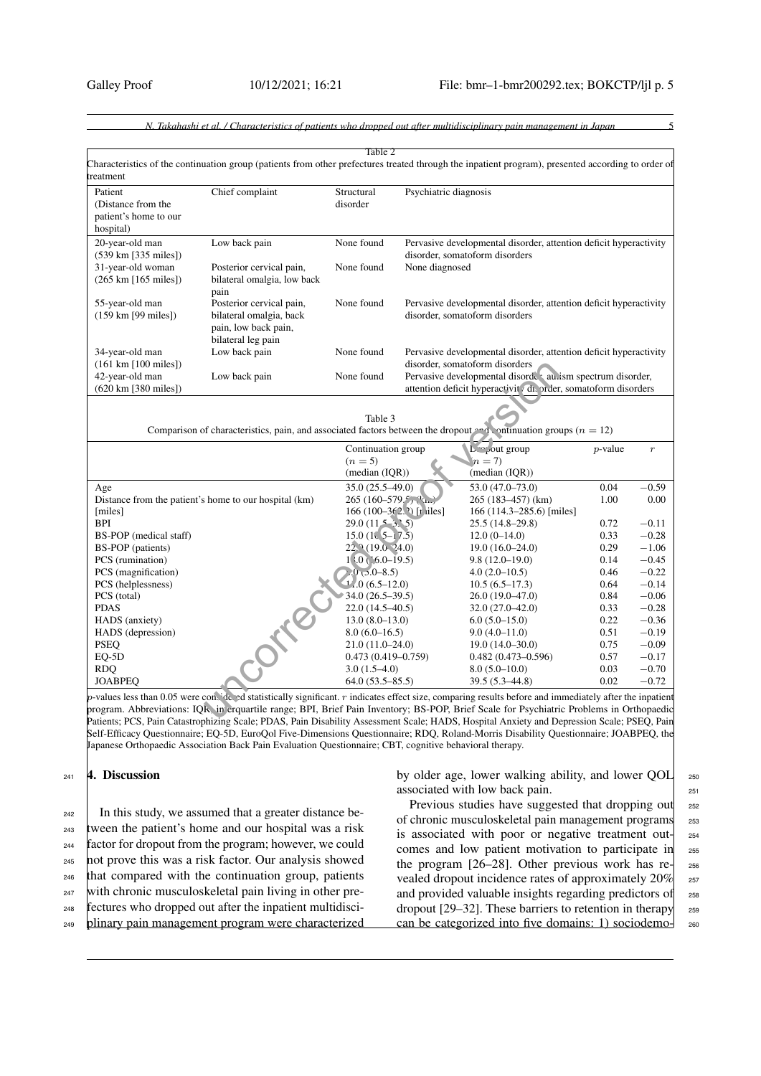<span id="page-4-0"></span>

|                                                                                                                                                                                                                                                         | Characteristics of the continuation group (patients from other prefectures treated through the inpatient program), presented according to order of | Table 2                                         |                         |                                                                                                                                                                |              |                                          |
|---------------------------------------------------------------------------------------------------------------------------------------------------------------------------------------------------------------------------------------------------------|----------------------------------------------------------------------------------------------------------------------------------------------------|-------------------------------------------------|-------------------------|----------------------------------------------------------------------------------------------------------------------------------------------------------------|--------------|------------------------------------------|
| treatment                                                                                                                                                                                                                                               |                                                                                                                                                    |                                                 |                         |                                                                                                                                                                |              |                                          |
| Patient<br>(Distance from the<br>patient's home to our<br>hospital)                                                                                                                                                                                     | Chief complaint                                                                                                                                    | Structural<br>disorder                          | Psychiatric diagnosis   |                                                                                                                                                                |              |                                          |
| 20-year-old man<br>$(539 \text{ km} [335 \text{ miles}])$                                                                                                                                                                                               | Low back pain                                                                                                                                      | None found                                      |                         | Pervasive developmental disorder, attention deficit hyperactivity<br>disorder, somatoform disorders                                                            |              |                                          |
| 31-year-old woman<br>$(265 \text{ km } [165 \text{ miles}])$                                                                                                                                                                                            | Posterior cervical pain,<br>bilateral omalgia, low back<br>pain                                                                                    | None found                                      | None diagnosed          |                                                                                                                                                                |              |                                          |
| 55-year-old man<br>$(159 \text{ km} [99 \text{ miles}])$                                                                                                                                                                                                | Posterior cervical pain,<br>bilateral omalgia, back<br>pain, low back pain,<br>bilateral leg pain                                                  | None found                                      |                         | Pervasive developmental disorder, attention deficit hyperactivity<br>disorder, somatoform disorders                                                            |              |                                          |
| 34-year-old man                                                                                                                                                                                                                                         | Low back pain                                                                                                                                      | None found                                      |                         | Pervasive developmental disorder, attention deficit hyperactivity                                                                                              |              |                                          |
| $(161 \text{ km } [100 \text{ miles}])$<br>42-year-old man<br>(620 km [380 miles])                                                                                                                                                                      | Low back pain                                                                                                                                      | None found                                      |                         | disorder, somatoform disorders<br>Pervasive developmental disorde au ism spectrum disorder,<br>attention deficit hyperactivit (dis order, somatoform disorders |              |                                          |
|                                                                                                                                                                                                                                                         |                                                                                                                                                    |                                                 |                         | Comparison of characteristics, pain, and associated factors between the dropout and continuation groups ( $n = 12$ )                                           |              |                                          |
|                                                                                                                                                                                                                                                         |                                                                                                                                                    | Continuation group<br>$(n=5)$<br>(median (IQR)) |                         | L <sup>'o</sup> ' out group<br>$n=7$<br>(median (IQR))                                                                                                         | $p$ -value   | $\boldsymbol{r}$                         |
|                                                                                                                                                                                                                                                         |                                                                                                                                                    | 35.0 (25.5-49.0)                                |                         | $53.0(47.0 - 73.0)$                                                                                                                                            | 0.04         | $-0.59$<br>0.00                          |
|                                                                                                                                                                                                                                                         | Distance from the patient's home to our hospital (km)                                                                                              | $265(160-579.5)$                                | 166 (100-362.) [r iles] | 265 (183–457) (km)<br>166 (114.3–285.6) [miles]                                                                                                                | 1.00         |                                          |
|                                                                                                                                                                                                                                                         |                                                                                                                                                    | $29.0(11 - 3.5)$                                |                         | $25.5(14.8-29.8)$                                                                                                                                              | 0.72         | $-0.11$                                  |
|                                                                                                                                                                                                                                                         |                                                                                                                                                    | $15.0(10.5 - 17.5)$                             |                         | $12.0(0-14.0)$                                                                                                                                                 | 0.33         | $-0.28$                                  |
|                                                                                                                                                                                                                                                         |                                                                                                                                                    | $22.2(19.0-24.0)$                               |                         | $19.0(16.0-24.0)$                                                                                                                                              | 0.29         | $-1.06$                                  |
|                                                                                                                                                                                                                                                         |                                                                                                                                                    | $1\langle 0(5.0-19.5)$                          |                         | $9.8(12.0-19.0)$                                                                                                                                               | 0.14         |                                          |
|                                                                                                                                                                                                                                                         |                                                                                                                                                    | $0,0,0-8.5$                                     |                         | $4.0(2.0-10.5)$                                                                                                                                                | 0.46         | $-0.45$<br>$-0.22$                       |
|                                                                                                                                                                                                                                                         |                                                                                                                                                    | $12.0(6.5-12.0)$                                |                         | $10.5(6.5-17.3)$                                                                                                                                               | 0.64         | $-0.14$                                  |
|                                                                                                                                                                                                                                                         |                                                                                                                                                    | $34.0(26.5-39.5)$                               |                         | $26.0(19.0-47.0)$                                                                                                                                              | 0.84         | $-0.06$                                  |
|                                                                                                                                                                                                                                                         |                                                                                                                                                    | $22.0(14.5-40.5)$                               |                         | $32.0(27.0 - 42.0)$                                                                                                                                            | 0.33<br>0.22 |                                          |
|                                                                                                                                                                                                                                                         |                                                                                                                                                    | $13.0(8.0-13.0)$<br>$8.0(6.0-16.5)$             |                         | $6.0(5.0-15.0)$<br>$9.0(4.0-11.0)$                                                                                                                             | 0.51         | $-0.28$<br>$-0.36$<br>$-0.19$            |
|                                                                                                                                                                                                                                                         |                                                                                                                                                    | $21.0(11.0-24.0)$                               |                         | $19.0(14.0-30.0)$                                                                                                                                              | 0.75         |                                          |
|                                                                                                                                                                                                                                                         |                                                                                                                                                    | $0.473(0.419 - 0.759)$                          |                         | $0.482(0.473 - 0.596)$                                                                                                                                         | 0.57         |                                          |
| Age<br>[miles]<br><b>BPI</b><br>BS-POP (medical staff)<br>BS-POP (patients)<br>PCS (rumination)<br>PCS (magnification)<br>PCS (helplessness)<br>PCS (total)<br><b>PDAS</b><br>HADS (anxiety)<br>HADS (depression)<br><b>PSEQ</b><br>EQ-5D<br><b>RDQ</b> | <b>.0184</b>                                                                                                                                       | $3.0(1.5-4.0)$                                  |                         | $8.0(5.0-10.0)$<br>39.5 (5.3-44.8)                                                                                                                             | 0.03<br>0.02 | $-0.09$<br>$-0.17$<br>$-0.70$<br>$-0.72$ |

<span id="page-4-1"></span>p-values less than 0.05 were considered statistically significant. r indicates effect size, comparing results before and immediately after the inpatient program. Abbreviations: IQR, in erquartile range; BPI, Brief Pain Inventory; BS-POP, Brief Scale for Psychiatric Problems in Orthopaedic Patients; PCS, Pain Catastrophizing Scale; PDAS, Pain Disability Assessment Scale; HADS, Hospital Anxiety and Depression Scale; PSEQ, Pain Self-Efficacy Questionnaire; EQ-5D, EuroQol Five-Dimensions Questionnaire; RDQ, Roland-Morris Disability Questionnaire; JOABPEQ, the Japanese Orthopaedic Association Back Pain Evaluation Questionnaire; CBT, cognitive behavioral therapy.

# 241 4. Discussion

 $_{242}$  In this study, we assumed that a greater distance be-<sup>243</sup> tween the patient's home and our hospital was a risk <sup>244</sup> factor for dropout from the program; however, we could <sup>245</sup> not prove this was a risk factor. Our analysis showed <sup>246</sup> that compared with the continuation group, patients <sup>247</sup> with chronic musculoskeletal pain living in other pre-<sup>248</sup> fectures who dropped out after the inpatient multidisci-

<sup>249</sup> plinary pain management program were characterized

by older age, lower walking ability, and lower QOL 250 associated with low back pain. 251

Previous studies have suggested that dropping out 252 of chronic musculoskeletal pain management programs 253 is associated with poor or negative treatment out- $\vert$  254 comes and low patient motivation to participate in <sup>255</sup> the program  $[26-28]$  $[26-28]$ . Other previous work has re- $\vert$  256 vealed dropout incidence rates of approximately  $20\%$  257 and provided valuable insights regarding predictors of 258 dropout [\[29](#page-8-23)[–32\]](#page-8-24). These barriers to retention in therapy  $\sim$  259 can be categorized into five domains: 1) sociodemo-<br>260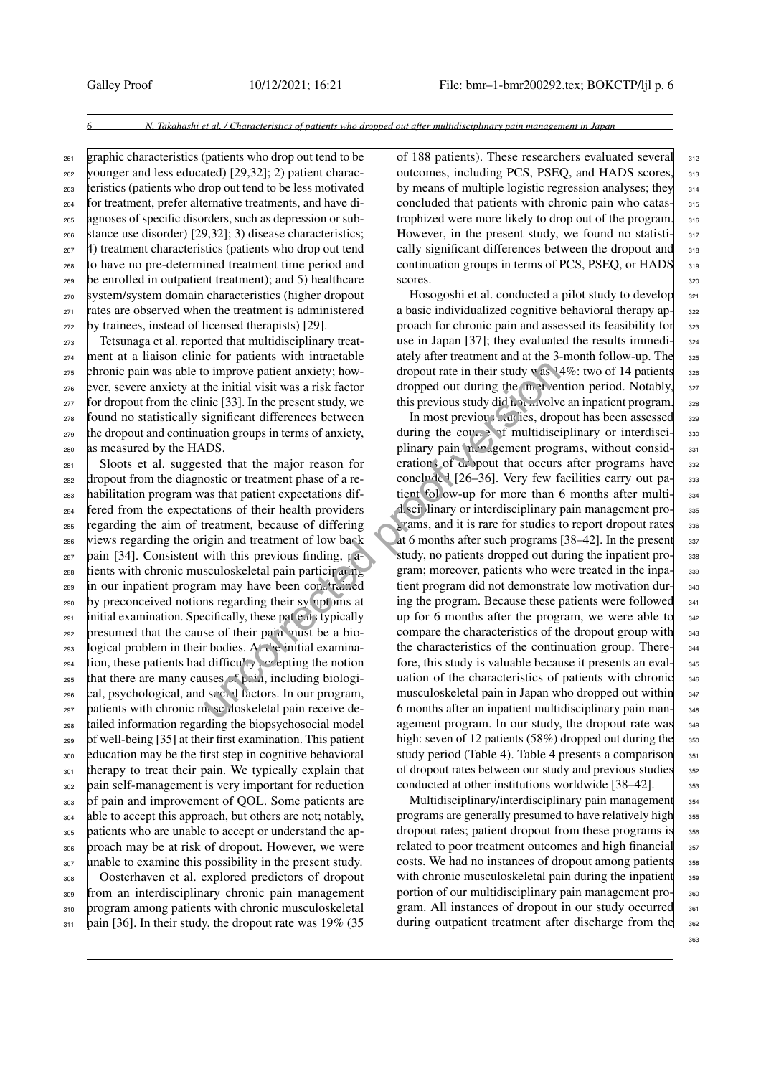$_{261}$  graphic characteristics (patients who drop out tend to be younger and less educated) [\[29,](#page-8-23)[32\]](#page-8-24); 2) patient charac- teristics (patients who drop out tend to be less motivated for treatment, prefer alternative treatments, and have di- agnoses of specific disorders, such as depression or sub- $\frac{1}{266}$  stance use disorder) [\[29,](#page-8-23)[32\]](#page-8-24); 3) disease characteristics; 4) treatment characteristics (patients who drop out tend to have no pre-determined treatment time period and be enrolled in outpatient treatment); and 5) healthcare system/system domain characteristics (higher dropout rates are observed when the treatment is administered by trainees, instead of licensed therapists) [\[29\]](#page-8-23).

 Tetsunaga et al. reported that multidisciplinary treat- ment at a liaison clinic for patients with intractable chronic pain was able to improve patient anxiety; how- ever, severe anxiety at the initial visit was a risk factor for dropout from the clinic [33]. In the present study, we found no statistically significant differences between the dropout and continuation groups in terms of anxiety, as measured by the HADS.

 Sloots et al. suggested that the major reason for dropout from the diagnostic or treatment phase of a re- habilitation program was that patient expectations dif- fered from the expectations of their health providers regarding the aim of treatment, because of differing views regarding the origin and treatment of low back  $_{287}$  pain [\[34\]](#page-8-26). Consistent with this previous finding, pa-288 tients with chronic musculoskeletal pain participating in our inpatient program may have been constrained by preconceived notions regarding their symptoms at  $_{291}$  initial examination. Specifically, these patients typically presumed that the cause of their pain must be a bio-293 logical problem in their bodies. At the initial examina- tion, these patients had difficulty accepting the notion 295 that there are many causes  $\epsilon$  pain, including biologi- cal, psychological, and social factors. In our program, patients with chronic musculoskeletal pain receive de- tailed information regarding the biopsychosocial model of well-being [\[35\]](#page-8-27) at their first examination. This patient education may be the first step in cognitive behavioral therapy to treat their pain. We typically explain that pain self-management is very important for reduction of pain and improvement of QOL. Some patients are 304 able to accept this approach, but others are not; notably, patients who are unable to accept or understand the ap- proach may be at risk of dropout. However, we were 307 unable to examine this possibility in the present study. Oosterhaven et al. explored predictors of dropout from an interdisciplinary chronic pain management 310 program among patients with chronic musculoskeletal  $_{311}$  pain [\[36\]](#page-8-28). In their study, the dropout rate was 19% (35 of 188 patients). These researchers evaluated several 312 outcomes, including PCS, PSEO, and HADS scores,  $313$ by means of multiple logistic regression analyses; they  $\frac{314}{314}$ concluded that patients with chronic pain who catas-<br>315 trophized were more likely to drop out of the program.  $\frac{316}{2}$ However, in the present study, we found no statisti- $\frac{317}{2}$ cally significant differences between the dropout and 318 continuation groups in terms of PCS, PSEQ, or  $HADS$   $319$ scores. 320

Hosogoshi et al. conducted a pilot study to develop  $321$ a basic individualized cognitive behavioral therapy ap- 322 proach for chronic pain and assessed its feasibility for 323 use in Japan [\[37\]](#page-9-0); they evaluated the results immedi- $\frac{324}{9}$ ately after treatment and at the 3-month follow-up. The 325 dropout rate in their study was  $14\%$ : two of 14 patients 326 dropped out during the intervention period. Notably,  $327$ this previous study did not involve an inpatient program.  $\Box$  328

In most previous studies, dropout has been assessed 329 during the course of multidisciplinary or interdisci-  $\frac{330}{2}$ plinary pain management programs, without consid-<br>331 erations of  $\omega$  pout that occurs after programs have 332 concluded  $[26-36]$ . Very few facilities carry out pa- $\vert$  333 tient follow-up for more than 6 months after multi- 334 disciplinary or interdisciplinary pain management pro- <sup>335</sup> grams, and it is rare for studies to report dropout rates 336 at 6 months after such programs  $[38-42]$  $[38-42]$ . In the present  $\frac{337}{2}$ study, no patients dropped out during the inpatient pro- 338 gram; moreover, patients who were treated in the inpa- 339 tient program did not demonstrate low motivation dur-<br>340 ing the program. Because these patients were followed  $_{341}$ up for 6 months after the program, we were able to  $342$ compare the characteristics of the dropout group with  $_{343}$ the characteristics of the continuation group. There- 344 fore, this study is valuable because it presents an eval- <sup>345</sup> uation of the characteristics of patients with chronic 346 musculoskeletal pain in Japan who dropped out within 347 6 months after an inpatient multidisciplinary pain man- <sup>348</sup> agement program. In our study, the dropout rate was  $\begin{bmatrix} 349 & 349 \\ 349 & 369 \end{bmatrix}$ high: seven of 12 patients (58%) dropped out during the  $_{350}$ study period (Table [4\)](#page-6-0). Table [4](#page-6-0) presents a comparison  $351$ of dropout rates between our study and previous studies 352 conducted at other institutions worldwide  $[38-42]$  $[38-42]$ .  $\Big|$  353 o improve patient anxiety; how<br>
the initial visit was a risk factor<br>
ince [33]. In the present study, we<br>
this previous study did n a risk factor<br>
is ignificant differences between<br>
into groups in terms of anxiety,<br>
duri

> Multidisciplinary/interdisciplinary pain management  $354$ programs are generally presumed to have relatively high 355 dropout rates; patient dropout from these programs is  $\frac{356}{356}$ related to poor treatment outcomes and high financial 357 costs. We had no instances of dropout among patients <sub>358</sub> with chronic musculoskeletal pain during the inpatient  $359$ portion of our multidisciplinary pain management pro-<br>s<sub>sc</sub> gram. All instances of dropout in our study occurred 361 during outpatient treatment after discharge from the 362

363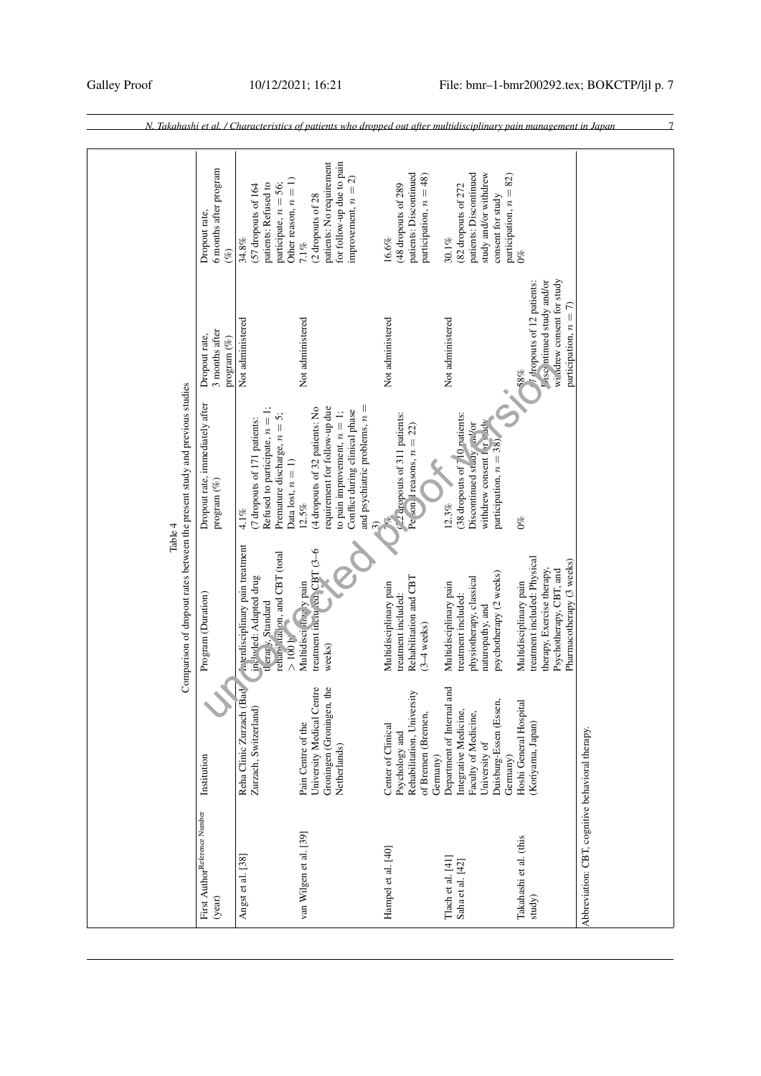<span id="page-6-0"></span>

|                                                                            | 6 months after program<br>Dropout rate,<br>$(\%)$ | Other reason, $n = 1$ )<br>patients: Refused to<br>participate, $n = 56$ ;<br>(57 dropouts of 164<br>34.8%                                         | for follow-up due to pain<br>patients: No requirement<br>improvement, $n = 2$ )<br>(2 dropouts of 28<br>$7.1\%$                                                                 | patients: Discontinued<br>participation, $n = 48$ )<br>(48 dropouts of 289<br>16.6%                  | patients: Discontinued<br>study and/or withdrew<br>participation, $n = 82$ )<br>(82 dropouts of 272<br>consent for study<br>$30.1\%$ | $0\%$                                                                                                                                        |                                                  |
|----------------------------------------------------------------------------|---------------------------------------------------|----------------------------------------------------------------------------------------------------------------------------------------------------|---------------------------------------------------------------------------------------------------------------------------------------------------------------------------------|------------------------------------------------------------------------------------------------------|--------------------------------------------------------------------------------------------------------------------------------------|----------------------------------------------------------------------------------------------------------------------------------------------|--------------------------------------------------|
|                                                                            | 3 months after<br>Dropout rate,<br>program $(\%)$ | Not administered                                                                                                                                   | Not administered                                                                                                                                                                | Not administered                                                                                     | Not administered                                                                                                                     | wildrew consent for study<br>Viscontinued study and/or<br>T dropouts of 12 patients:<br>participation, $n = 7$ )<br>58%                      |                                                  |
| Table 4                                                                    | Dropout rate, immediately after<br>program $(\%)$ | Refused to participate, $n = 1$ ;<br>Premature discharge, $n = 5$ ;<br>(7 dropouts of 171 patients:<br>Data lost, $n=1)$<br>$4.1\%$                | and psychiatric problems, $n =$<br>requirement for follow-up due<br>(4 dropouts of 32 patients: No<br>Conflict during clinical phase<br>to pain improvement, $n = 1$ ;<br>12.5% | 22 dropouts of 311 patients:<br>Personal reasons, $n = 22$                                           | (38 dropouts of 710 patients:<br>withdrew consent i w dy<br>Discontinued study and/or<br>participation, $n = 38$ )<br>12.3%          | $0\%$                                                                                                                                        |                                                  |
| Comparison of dropout rates between the present study and previous studies | Program (Duration)                                | <b>Executivalent</b> pain treatment<br>rehab <sup>17</sup> italion, and CBT (total<br>included: Adapted drug<br>tl erar $y$ , Standard<br>$>100$ h | treatment incities CBT (3-6<br>Multidisci A. a y pain<br>weeks)                                                                                                                 | Rehabilitation and CBT<br>Multidisciplinary pain<br>treatment included:<br>$(3-4$ weeks)             | psychotherapy (2 weeks)<br>physiotherapy, classical<br>Multidisciplinary pain<br>treatment included:<br>naturopathy, and             | treatment included: Physical<br>Pharmacotherapy (3 weeks)<br>therapy, Exercise therapy,<br>Psychotherapy, CBT, and<br>Multidisciplinary pain |                                                  |
|                                                                            | Institution                                       | Reha Clinic Zurzach (Ba<br>Zurzach, Switzerland)                                                                                                   | Groningen (Groningen, the<br>University Medical Centre<br>Pain Centre of the<br>Netherlands)                                                                                    | Rehabilitation, University<br>of Bremen (Bremen,<br>Center of Clinical<br>Psychology and<br>Germany) | Department of Internal and<br>Duisburg-Essen (Essen,<br>Integrative Medicine,<br>Faculty of Medicine,<br>University of<br>Germany)   | Hoshi General Hospital<br>(Koriyama, Japan)                                                                                                  |                                                  |
|                                                                            | First AuthorReference Number<br>(year)            | Angst et al. [38]                                                                                                                                  | van Wilgen et al. [39]                                                                                                                                                          | Hampel et al. [40]                                                                                   | Tlach et al. [41]<br>Saha et al. [42]                                                                                                | Takahashi et al. (this<br>study)                                                                                                             | Abbreviation: CBT, cognitive behavioral therapy. |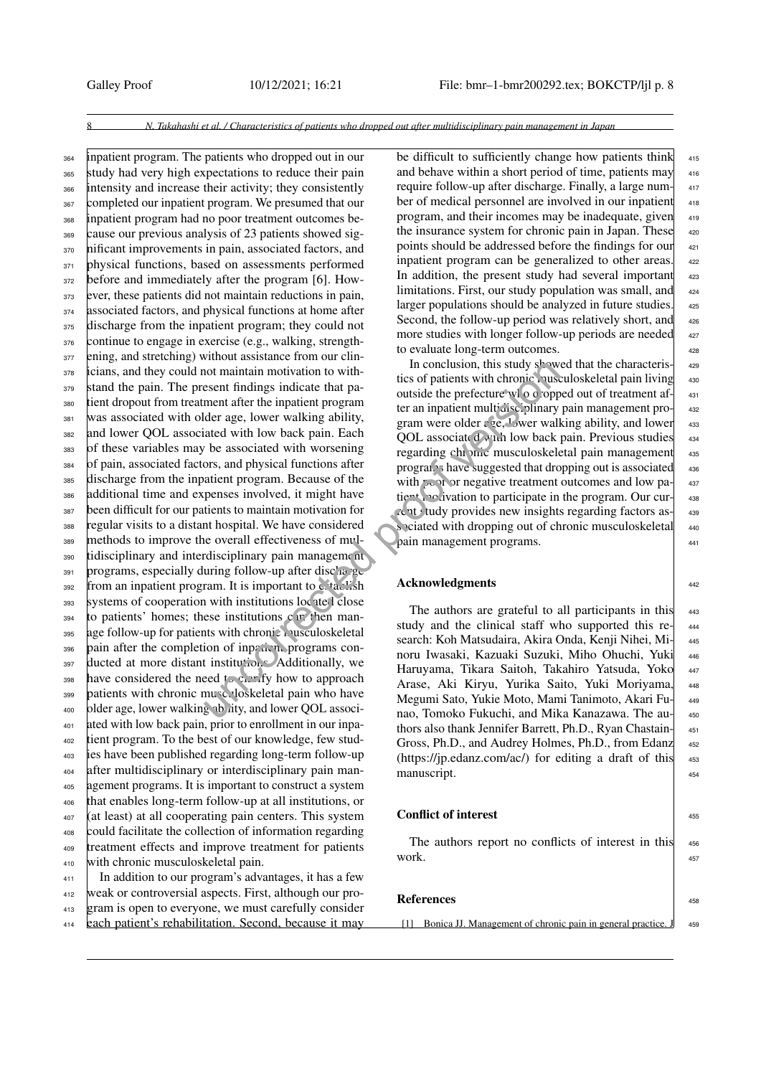<sup>364</sup> inpatient program. The patients who dropped out in our <sup>365</sup> study had very high expectations to reduce their pain 366 intensity and increase their activity; they consistently <sup>367</sup> completed our inpatient program. We presumed that our <sup>368</sup> inpatient program had no poor treatment outcomes be-<sup>369</sup> cause our previous analysis of 23 patients showed sig-370 nificant improvements in pain, associated factors, and <sup>371</sup> physical functions, based on assessments performed <sub>372</sub> before and immediately after the program [\[6\]](#page-8-4). How-<sup>373</sup> ever, these patients did not maintain reductions in pain, 374 associated factors, and physical functions at home after 375 discharge from the inpatient program; they could not 376 continue to engage in exercise (e.g., walking, strength-<sup>377</sup> ening, and stretching) without assistance from our clin-<sup>378</sup> icians, and they could not maintain motivation to with-379 stand the pain. The present findings indicate that pa-<sup>380</sup> tient dropout from treatment after the inpatient program <sup>381</sup> was associated with older age, lower walking ability, <sup>382</sup> and lower QOL associated with low back pain. Each <sup>383</sup> of these variables may be associated with worsening <sup>384</sup> of pain, associated factors, and physical functions after discharge from the inpatient program. Because of the <sup>386</sup> additional time and expenses involved, it might have <sup>387</sup> been difficult for our patients to maintain motivation for <sup>388</sup> regular visits to a distant hospital. We have considered <sup>389</sup> methods to improve the overall effectiveness of mul-390 tidisciplinary and interdisciplinary pain management  $391$  programs, especially during follow-up after discharge 392 from an inpatient program. It is important to establish <sup>393</sup> systems of cooperation with institutions located close  $_{394}$  to patients' homes; these institutions can then man-395 age follow-up for patients with chronic musculoskeletal  $_{396}$  pain after the completion of inpation, programs con-397 ducted at more distant institutions. Additionally, we 398 have considered the need to clarify how to approach 399 patients with chronic musculoskeletal pain who have 400 older age, lower walking ability, and lower QOL associ-<sup>401</sup> ated with low back pain, prior to enrollment in our inpa-<sup>402</sup> tient program. To the best of our knowledge, few stud-<sup>403</sup> ies have been published regarding long-term follow-up <sup>404</sup> after multidisciplinary or interdisciplinary pain man-<sup>405</sup> agement programs. It is important to construct a system <sup>406</sup> that enables long-term follow-up at all institutions, or <sup>407</sup> (at least) at all cooperating pain centers. This system <sup>408</sup> could facilitate the collection of information regarding <sup>409</sup> treatment effects and improve treatment for patients <sup>410</sup> with chronic musculoskeletal pain. <sup>411</sup> In addition to our program's advantages, it has a few not maintain motivation to with<br>
sesent findings indicate that pactors in this study shows<br>
the conclusion, this study shows<br>
ment after the inpatient program<br>
outside the prefecture wlo d opp<br>
ler an inpatient multidiscip

<sup>412</sup> weak or controversial aspects. First, although our pro-<sup>413</sup> gram is open to everyone, we must carefully consider <sup>414</sup> each patient's rehabilitation. Second, because it may be difficult to sufficiently change how patients think 415 and behave within a short period of time, patients may require follow-up after discharge. Finally, a large num- <sup>417</sup> ber of medical personnel are involved in our inpatient 418 program, and their incomes may be inadequate, given the insurance system for chronic pain in Japan. These points should be addressed before the findings for our inpatient program can be generalized to other areas. 422 In addition, the present study had several important limitations. First, our study population was small, and larger populations should be analyzed in future studies. Second, the follow-up period was relatively short, and more studies with longer follow-up periods are needed to evaluate long-term outcomes.  $\vert$ 

In conclusion, this study showed that the characteris- 429 tics of patients with chronic musculoskeletal pain living 430 outside the prefecture wl o d opped out of treatment af- 431 ter an inpatient multidisciplinary pain management pro- 432 gram were older  $\epsilon$  ge, <sup>1</sup> wer walking ability, and lower  $433$ QOL associated with low back pain. Previous studies 434 regarding chronic musculoskeletal pain management 435 programs have suggested that dropping out is associated 436 with  $\sim$  or negative treatment outcomes and low pa- $\vert$  437 tient motivation to participate in the program. Our cur- 438 rent study provides new insights regarding factors as- <sup>439</sup> sociated with dropping out of chronic musculoskeletal 440 pain management programs.

# Acknowledgments and the state of the state of the state of the state of the state of the state of the state of the state of the state of the state of the state of the state of the state of the state of the state of the sta

The authors are grateful to all participants in this  $_{443}$ study and the clinical staff who supported this research: Koh Matsudaira, Akira Onda, Kenji Nihei, Mi- <sup>445</sup> noru Iwasaki, Kazuaki Suzuki, Miho Ohuchi, Yuki <sup>446</sup> Haruyama, Tikara Saitoh, Takahiro Yatsuda, Yoko 447 Arase, Aki Kiryu, Yurika Saito, Yuki Moriyama, <sup>448</sup> Megumi Sato, Yukie Moto, Mami Tanimoto, Akari Fu- <sup>449</sup> nao, Tomoko Fukuchi, and Mika Kanazawa. The au- <sup>450</sup> thors also thank Jennifer Barrett, Ph.D., Ryan Chastain- 451 Gross, Ph.D., and Audrey Holmes, Ph.D., from Edanz 452  $(\text{https://ip.eduar.com/ac/})$  for editing a draft of this  $453$ manuscript. 454

## Conflict of interest  $\frac{1}{455}$

The authors report no conflicts of interest in this 456 work.  $\qquad \qquad \blacksquare$ 

## References and the state of  $\frac{458}{458}$

<span id="page-7-0"></span>[1] Bonica JJ. Management of chronic pain in general practice. J 459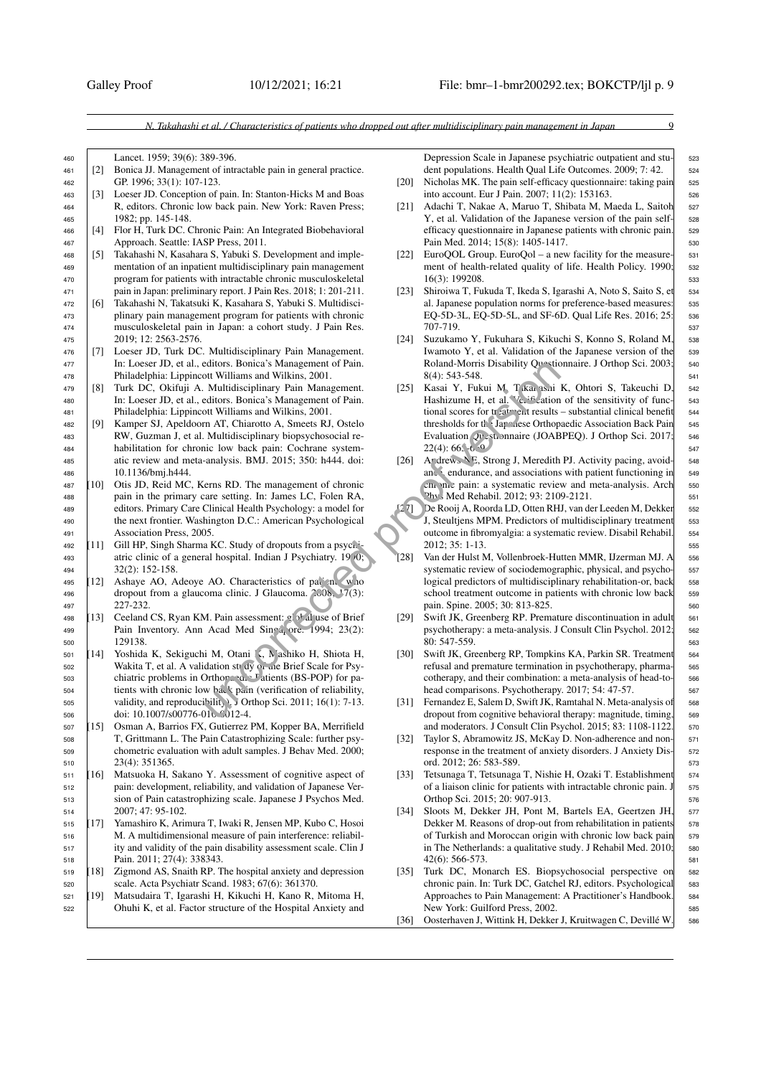- <sup>460</sup> Lancet. 1959; 39(6): 389-396.
- <span id="page-8-0"></span><sup>461</sup> [2] Bonica JJ. Management of intractable pain in general practice. <sup>462</sup> GP. 1996; 33(1): 107-123.
- <span id="page-8-1"></span><sup>463</sup> [3] Loeser JD. Conception of pain. In: Stanton-Hicks M and Boas 464 | R, editors. Chronic low back pain. New York: Raven Press; <sup>465</sup> 1982; pp. 145-148.
- <span id="page-8-2"></span><sup>466</sup> [4] Flor H, Turk DC. Chronic Pain: An Integrated Biobehavioral 467 Approach. Seattle: IASP Press, 2011.
- <span id="page-8-3"></span><sup>468</sup> [5] Takahashi N, Kasahara S, Yabuki S. Development and imple-<sup>469</sup> mentation of an inpatient multidisciplinary pain management <sup>470</sup> program for patients with intractable chronic musculoskeletal <sup>471</sup> pain in Japan: preliminary report. J Pain Res. 2018; 1: 201-211.
- <span id="page-8-4"></span><sup>472</sup> [6] Takahashi N, Takatsuki K, Kasahara S, Yabuki S. Multidisci-473 **plinary pain management program for patients with chronic** <sup>474</sup> musculoskeletal pain in Japan: a cohort study. J Pain Res. <sup>475</sup> 2019; 12: 2563-2576.
- <sup>476</sup> [7] Loeser JD, Turk DC. Multidisciplinary Pain Management. <sup>477</sup> In: Loeser JD, et al., editors. Bonica's Management of Pain. <sup>478</sup> Philadelphia: Lippincott Williams and Wilkins, 2001.
- <sup>479</sup> [8] Turk DC, Okifuji A. Multidisciplinary Pain Management. <sup>480</sup> In: Loeser JD, et al., editors. Bonica's Management of Pain. <sup>481</sup> Philadelphia: Lippincott Williams and Wilkins, 2001.
- <sup>482</sup> [9] Kamper SJ, Apeldoorn AT, Chiarotto A, Smeets RJ, Ostelo <sup>483</sup> RW, Guzman J, et al. Multidisciplinary biopsychosocial re-<sup>484</sup> habilitation for chronic low back pain: Cochrane system-485 atic review and meta-analysis. BMJ. 2015; 350: h444. doi: 486 10.1136/bmj.h444.<br>487 101 Otis JD. Reid MC
- <span id="page-8-5"></span><sup>487</sup> [10] Otis JD, Reid MC, Kerns RD. The management of chronic 488 **pain in the primary care setting. In: James LC, Folen RA,** <sup>489</sup> editors. Primary Care Clinical Health Psychology: a model for 490 the next frontier. Washington D.C.: American Psychological <sup>491</sup> Association Press, 2005.
- <span id="page-8-6"></span> $492$  [11] Gill HP, Singh Sharma KC. Study of dropouts from a psychi-493 atric clinic of a general hospital. Indian J Psychiatry. 19 $(0;$ <sup>494</sup> 32(2): 152-158.
- <span id="page-8-7"></span>495  $[12]$  Ashaye AO, Adeoye AO. Characteristics of patients who 496 dropout from a glaucoma clinic. J Glaucoma. 2008, <sup>1</sup>7(3): <sup>497</sup> 227-232.
- <span id="page-8-8"></span>498 [13] Ceeland CS, Ryan KM. Pain assessment: global use of Brief 499 | Pain Inventory. Ann Acad Med Singa ore. 1994; 23(2): <sup>500</sup> 129138.
- <span id="page-8-9"></span>501 [14] Yoshida K, Sekiguchi M, Otani I, Mashiko H, Shiota H, 502 Wakita T, et al. A validation study of the Brief Scale for Psy-503 chiatric problems in Orthopaedic Patients (BS-POP) for pa-504 tients with chronic low back pain (verification of reliability,  $505$  validity, and reproducibility). J Orthop Sci. 2011; 16(1): 7-13. 506 doi: 10.1007/s00776-010-0012-4.
- <span id="page-8-24"></span><span id="page-8-10"></span><sup>507</sup> [15] Osman A, Barrios FX, Gutierrez PM, Kopper BA, Merrifield <sup>508</sup> T, Grittmann L. The Pain Catastrophizing Scale: further psy-<sup>509</sup> chometric evaluation with adult samples. J Behav Med. 2000; 510 23(4): 351365.<br>511 [16] Matsuoka H, 3
- <span id="page-8-25"></span><span id="page-8-11"></span><sup>511</sup> [16] Matsuoka H, Sakano Y. Assessment of cognitive aspect of <sup>512</sup> pain: development, reliability, and validation of Japanese Ver-<sup>513</sup> sion of Pain catastrophizing scale. Japanese J Psychos Med. <sup>514</sup> 2007; 47: 95-102.
- <span id="page-8-26"></span><span id="page-8-12"></span><sup>515</sup> [17] Yamashiro K, Arimura T, Iwaki R, Jensen MP, Kubo C, Hosoi <sup>516</sup> M. A multidimensional measure of pain interference: reliabil-<sup>517</sup> ity and validity of the pain disability assessment scale. Clin J 518 Pain. 2011; 27(4): 338343.<br>
[18] Zigmond AS, Snaith RP. T
- <span id="page-8-27"></span><span id="page-8-13"></span><sup>519</sup> [18] Zigmond AS, Snaith RP. The hospital anxiety and depression <sup>520</sup> scale. Acta Psychiatr Scand. 1983; 67(6): 361370.
- <span id="page-8-28"></span><span id="page-8-14"></span><sup>521</sup> [19] Matsudaira T, Igarashi H, Kikuchi H, Kano R, Mitoma H, <sup>522</sup> Ohuhi K, et al. Factor structure of the Hospital Anxiety and

Depression Scale in Japanese psychiatric outpatient and stu- 523 dent populations. Health Qual Life Outcomes. 2009; 7: 42.

- <span id="page-8-15"></span>Nicholas MK. The pain self-efficacy questionnaire: taking pain 525 into account. Eur J Pain. 2007; 11(2): 153163.
- <span id="page-8-16"></span>[21] Adachi T, Nakae A, Maruo T, Shibata M, Maeda L, Saitoh 527 Y, et al. Validation of the Japanese version of the pain self-<br>s28 efficacy questionnaire in Japanese patients with chronic pain. 529 Pain Med. 2014; 15(8): 1405-1417. 530
- <span id="page-8-17"></span>[22] EuroQOL Group. EuroQol – a new facility for the measure-  $\frac{531}{2}$ ment of health-related quality of life. Health Policy. 1990; 532 16(3): 199208. 533
- <span id="page-8-18"></span>[23] Shiroiwa T, Fukuda T, Ikeda S, Igarashi A, Noto S, Saito S, et 534 al. Japanese population norms for preference-based measures: 535 EQ-5D-3L, EQ-5D-5L, and SF-6D. Qual Life Res. 2016; 25: 536 707-719. <sup>537</sup>
- <span id="page-8-23"></span><span id="page-8-22"></span><span id="page-8-21"></span><span id="page-8-20"></span><span id="page-8-19"></span>[24] Suzukamo Y, Fukuhara S, Kikuchi S, Konno S, Roland M, 538 Iwamoto Y, et al. Validation of the Japanese version of the 539 Roland-Morris Disability Questionnaire. J Orthop Sci. 2003; 540 8(4): 543-548. 541
- [25] Kasai Y, Fukui M, T Kanashi K, Ohtori S, Takeuchi D, 542 Hashizume H, et al. Verification of the sensitivity of func-  $\frac{543}{2}$ tional scores for treatment results – substantial clinical benefit  $\frac{544}{544}$ thresholds for the Japanese Orthopaedic Association Back Pain 545 Evaluation Questionnaire (JOABPEQ). J Orthop Sci. 2017; 546  $22(4): 66. -6.9$ educes. Bonica's Management of Pain. Holiday and Mikins, 2001.<br>
11 Relations and Wikins, 2001.<br>
12 SI Kasai Y, Fukui M, Tkan Sai<br>
2dictions. Bonica's Management of Pain. Hashizume H, et al. "Go<sup>16</sup> dations in<br>
tot Willians
	- [26] Andrews NE, Strong J, Meredith PJ. Activity pacing, avoid- 548 ance, endurance, and associations with patient functioning in 549 cm m. pain: a systematic review and meta-analysis. Arch 550 Phys Med Rehabil. 2012; 93: 2109-2121.
	- <sup>[27]</sup> De Rooij A, Roorda LD, Otten RHJ, van der Leeden M, Dekker 552 J, Steultiens MPM. Predictors of multidisciplinary treatment 553 outcome in fibromyalgia: a systematic review. Disabil Rehabil. <sup>554</sup> 2012: 35: 1-13.
	- [28] Van der Hulst M, Vollenbroek-Hutten MMR, IJzerman MJ. A  $\sim$  556 systematic review of sociodemographic, physical, and psycho- 557 logical predictors of multidisciplinary rehabilitation-or, back 558 school treatment outcome in patients with chronic low back 559 pain. Spine. 2005; 30: 813-825. 560
	- [29] Swift JK, Greenberg RP. Premature discontinuation in adult 561 psychotherapy: a meta-analysis. J Consult Clin Psychol. 2012; 562 80: 547-559. 563
	- [30] Swift JK, Greenberg RP, Tompkins KA, Parkin SR. Treatment 564 refusal and premature termination in psychotherapy, pharma- 565 cotherapy, and their combination: a meta-analysis of head-to- 566 head comparisons. Psychotherapy. 2017; 54: 47-57. 567
	- [31] Fernandez E, Salem D, Swift JK, Ramtahal N. Meta-analysis of 568 dropout from cognitive behavioral therapy: magnitude, timing, 569 and moderators. J Consult Clin Psychol. 2015; 83: 1108-1122. 570
	- [32] Taylor S, Abramowitz JS, McKay D. Non-adherence and non- 571 response in the treatment of anxiety disorders. J Anxiety Dis- 572 ord. 2012; 26: 583-589. 573
	- [33] Tetsunaga T, Tetsunaga T, Nishie H, Ozaki T. Establishment 574 of a liaison clinic for patients with intractable chronic pain. J 575 Orthop Sci. 2015; 20: 907-913.
	- [34] Sloots M, Dekker JH, Pont M, Bartels EA, Geertzen JH, 577 Dekker M. Reasons of drop-out from rehabilitation in patients 578 of Turkish and Moroccan origin with chronic low back pain 579 in The Netherlands: a qualitative study. J Rehabil Med. 2010; 580 42(6): 566-573. 581
	- [35] Turk DC, Monarch ES. Biopsychosocial perspective on 582 chronic pain. In: Turk DC, Gatchel RJ, editors. Psychological 583 Approaches to Pain Management: A Practitioner's Handbook. 584 New York: Guilford Press, 2002.
	- [36] Oosterhaven J, Wittink H, Dekker J, Kruitwagen C, Devillé W. 586